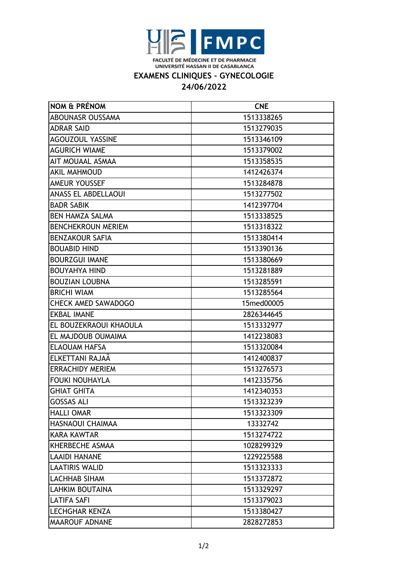

## **EXAMENS CLINIQUES - GYNECOLOGIE**

## **24/06/2022**

| NOM & PRÉNOM               | <b>CNE</b> |
|----------------------------|------------|
| ABOUNASR OUSSAMA           | 1513338265 |
| <b>ADRAR SAID</b>          | 1513279035 |
| <b>AGOUZOUL YASSINE</b>    | 1513346109 |
| <b>AGURICH WIAME</b>       | 1513379002 |
| AIT MOUAAL ASMAA           | 1513358535 |
| <b>AKIL MAHMOUD</b>        | 1412426374 |
| AMEUR YOUSSEF              | 1513284878 |
| <b>ANASS EL ABDELLAOUI</b> | 1513277502 |
| <b>BADR SABIK</b>          | 1412397704 |
| <b>BEN HAMZA SALMA</b>     | 1513338525 |
| <b>BENCHEKROUN MERIEM</b>  | 1513318322 |
| <b>BENZAKOUR SAFIA</b>     | 1513380414 |
| <b>BOUABID HIND</b>        | 1513390136 |
| <b>BOURZGUI IMANE</b>      | 1513380669 |
| <b>BOUYAHYA HIND</b>       | 1513281889 |
| <b>BOUZIAN LOUBNA</b>      | 1513285591 |
| <b>BRICHI WIAM</b>         | 1513285564 |
| <b>CHECK AMED SAWADOGO</b> | 15med00005 |
| <b>EKBAL IMANE</b>         | 2826344645 |
| EL BOUZEKRAOUI KHAOULA     | 1513332977 |
| EL MAJDOUB OUMAIMA         | 1412238083 |
| <b>ELAOUAM HAFSA</b>       | 1513320084 |
| ELKETTANI RAJAÄ            | 1412400837 |
| <b>ERRACHIDY MERIEM</b>    | 1513276573 |
| <b>FOUKI NOUHAYLA</b>      | 1412335756 |
| <b>GHIAT GHITA</b>         | 1412340353 |
| <b>GOSSAS ALI</b>          | 1513323239 |
| <b>HALLI OMAR</b>          | 1513323309 |
| HASNAOUI CHAIMAA           | 13332742   |
| <b>KARA KAWTAR</b>         | 1513274722 |
| KHERBECHE ASMAA            | 1028299329 |
| <b>LAAIDI HANANE</b>       | 1229225588 |
| <b>LAATIRIS WALID</b>      | 1513323333 |
| <b>LACHHAB SIHAM</b>       | 1513372872 |
| <b>LAHKIM BOUTAINA</b>     | 1513329297 |
| <b>LATIFA SAFI</b>         | 1513379023 |
| <b>LECHGHAR KENZA</b>      | 1513380427 |
| <b>MAAROUF ADNANE</b>      | 2828272853 |